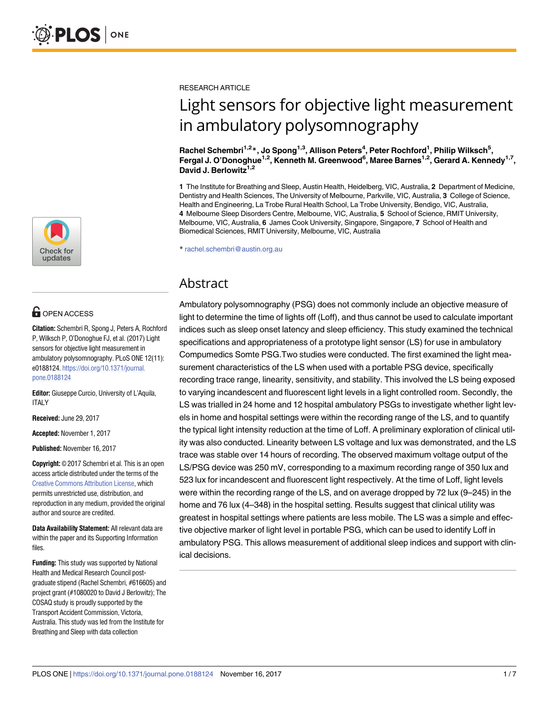

# **OPEN ACCESS**

**Citation:** Schembri R, Spong J, Peters A, Rochford P, Wilksch P, O'Donoghue FJ, et al. (2017) Light sensors for objective light measurement in ambulatory polysomnography. PLoS ONE 12(11): e0188124. [https://doi.org/10.1371/journal.](https://doi.org/10.1371/journal.pone.0188124) [pone.0188124](https://doi.org/10.1371/journal.pone.0188124)

**Editor:** Giuseppe Curcio, University of L'Aquila, ITALY

**Received:** June 29, 2017

**Accepted:** November 1, 2017

**Published:** November 16, 2017

**Copyright:** © 2017 Schembri et al. This is an open access article distributed under the terms of the Creative Commons [Attribution](http://creativecommons.org/licenses/by/4.0/) License, which permits unrestricted use, distribution, and reproduction in any medium, provided the original author and source are credited.

**Data Availability Statement:** All relevant data are within the paper and its Supporting Information files.

**Funding:** This study was supported by National Health and Medical Research Council postgraduate stipend (Rachel Schembri, #616605) and project grant (#1080020 to David J Berlowitz); The COSAQ study is proudly supported by the Transport Accident Commission, Victoria, Australia. This study was led from the Institute for Breathing and Sleep with data collection

RESEARCH ARTICLE

# Light sensors for objective light measurement in ambulatory polysomnography

**Rachel Schembri1,2\*, Jo Spong1,3, Allison Peters4 , Peter Rochford1 , Philip Wilksch5 , Fergal J. O'Donoghue1,2, Kenneth M. Greenwood6 , Maree Barnes1,2, Gerard A. Kennedy1,7,** David J. Berlowitz<sup>1,2</sup>

**1** The Institute for Breathing and Sleep, Austin Health, Heidelberg, VIC, Australia, **2** Department of Medicine, Dentistry and Health Sciences, The University of Melbourne, Parkville, VIC, Australia, **3** College of Science, Health and Engineering, La Trobe Rural Health School, La Trobe University, Bendigo, VIC, Australia, **4** Melbourne Sleep Disorders Centre, Melbourne, VIC, Australia, **5** School of Science, RMIT University, Melbourne, VIC, Australia, **6** James Cook University, Singapore, Singapore, **7** School of Health and Biomedical Sciences, RMIT University, Melbourne, VIC, Australia

\* rachel.schembri@austin.org.au

# Abstract

Ambulatory polysomnography (PSG) does not commonly include an objective measure of light to determine the time of lights off (Loff), and thus cannot be used to calculate important indices such as sleep onset latency and sleep efficiency. This study examined the technical specifications and appropriateness of a prototype light sensor (LS) for use in ambulatory Compumedics Somte PSG.Two studies were conducted. The first examined the light measurement characteristics of the LS when used with a portable PSG device, specifically recording trace range, linearity, sensitivity, and stability. This involved the LS being exposed to varying incandescent and fluorescent light levels in a light controlled room. Secondly, the LS was trialled in 24 home and 12 hospital ambulatory PSGs to investigate whether light levels in home and hospital settings were within the recording range of the LS, and to quantify the typical light intensity reduction at the time of Loff. A preliminary exploration of clinical utility was also conducted. Linearity between LS voltage and lux was demonstrated, and the LS trace was stable over 14 hours of recording. The observed maximum voltage output of the LS/PSG device was 250 mV, corresponding to a maximum recording range of 350 lux and 523 lux for incandescent and fluorescent light respectively. At the time of Loff, light levels were within the recording range of the LS, and on average dropped by 72 lux (9–245) in the home and 76 lux (4–348) in the hospital setting. Results suggest that clinical utility was greatest in hospital settings where patients are less mobile. The LS was a simple and effective objective marker of light level in portable PSG, which can be used to identify Loff in ambulatory PSG. This allows measurement of additional sleep indices and support with clinical decisions.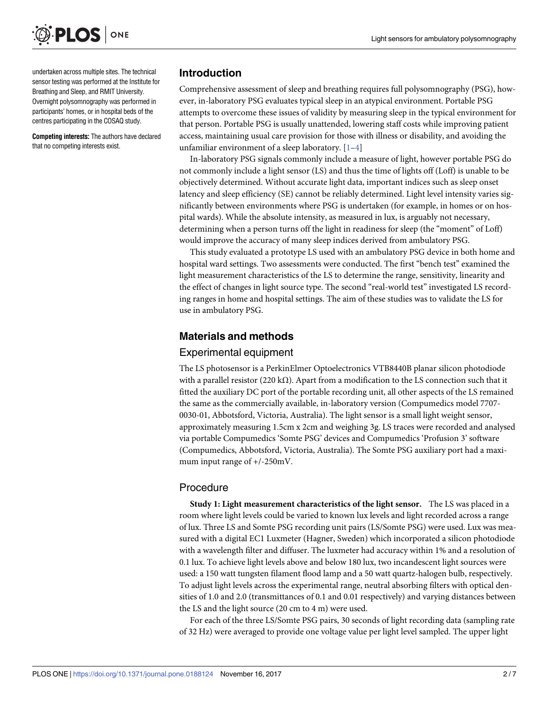<span id="page-1-0"></span>

undertaken across multiple sites. The technical sensor testing was performed at the Institute for Breathing and Sleep, and RMIT University. Overnight polysomnography was performed in participants' homes, or in hospital beds of the centres participating in the COSAQ study.

**Competing interests:** The authors have declared that no competing interests exist.

## **Introduction**

Comprehensive assessment of sleep and breathing requires full polysomnography (PSG), however, in-laboratory PSG evaluates typical sleep in an atypical environment. Portable PSG attempts to overcome these issues of validity by measuring sleep in the typical environment for that person. Portable PSG is usually unattended, lowering staff costs while improving patient access, maintaining usual care provision for those with illness or disability, and avoiding the unfamiliar environment of a sleep laboratory.  $[1-4]$ 

In-laboratory PSG signals commonly include a measure of light, however portable PSG do not commonly include a light sensor (LS) and thus the time of lights off (Loff) is unable to be objectively determined. Without accurate light data, important indices such as sleep onset latency and sleep efficiency (SE) cannot be reliably determined. Light level intensity varies significantly between environments where PSG is undertaken (for example, in homes or on hospital wards). While the absolute intensity, as measured in lux, is arguably not necessary, determining when a person turns off the light in readiness for sleep (the "moment" of Loff) would improve the accuracy of many sleep indices derived from ambulatory PSG.

This study evaluated a prototype LS used with an ambulatory PSG device in both home and hospital ward settings. Two assessments were conducted. The first "bench test" examined the light measurement characteristics of the LS to determine the range, sensitivity, linearity and the effect of changes in light source type. The second "real-world test" investigated LS recording ranges in home and hospital settings. The aim of these studies was to validate the LS for use in ambulatory PSG.

# **Materials and methods**

#### Experimental equipment

The LS photosensor is a PerkinElmer Optoelectronics VTB8440B planar silicon photodiode with a parallel resistor (220 kΩ). Apart from a modification to the LS connection such that it fitted the auxiliary DC port of the portable recording unit, all other aspects of the LS remained the same as the commercially available, in-laboratory version (Compumedics model 7707- 0030-01, Abbotsford, Victoria, Australia). The light sensor is a small light weight sensor, approximately measuring 1.5cm x 2cm and weighing 3g. LS traces were recorded and analysed via portable Compumedics 'Somte PSG' devices and Compumedics 'Profusion 3' software (Compumedics, Abbotsford, Victoria, Australia). The Somte PSG auxiliary port had a maximum input range of +/-250mV.

## Procedure

**Study 1: Light measurement characteristics of the light sensor.** The LS was placed in a room where light levels could be varied to known lux levels and light recorded across a range of lux. Three LS and Somte PSG recording unit pairs (LS/Somte PSG) were used. Lux was measured with a digital EC1 Luxmeter (Hagner, Sweden) which incorporated a silicon photodiode with a wavelength filter and diffuser. The luxmeter had accuracy within 1% and a resolution of 0.1 lux. To achieve light levels above and below 180 lux, two incandescent light sources were used: a 150 watt tungsten filament flood lamp and a 50 watt quartz-halogen bulb, respectively. To adjust light levels across the experimental range, neutral absorbing filters with optical densities of 1.0 and 2.0 (transmittances of 0.1 and 0.01 respectively) and varying distances between the LS and the light source (20 cm to 4 m) were used.

For each of the three LS/Somte PSG pairs, 30 seconds of light recording data (sampling rate of 32 Hz) were averaged to provide one voltage value per light level sampled. The upper light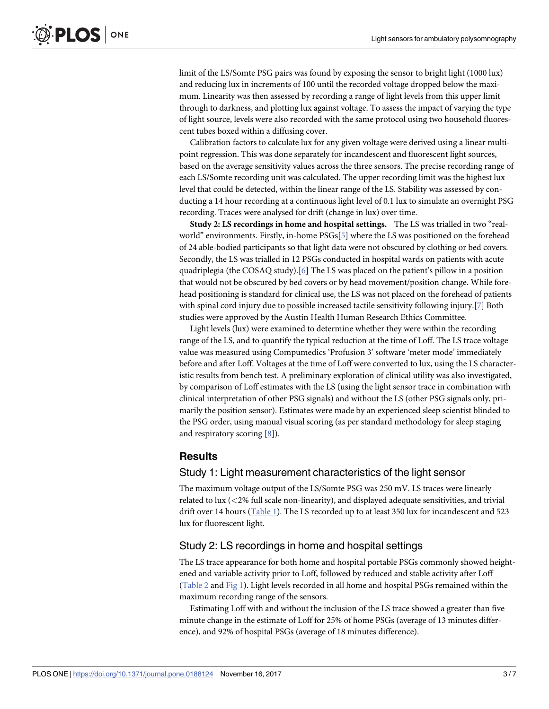<span id="page-2-0"></span>limit of the LS/Somte PSG pairs was found by exposing the sensor to bright light (1000 lux) and reducing lux in increments of 100 until the recorded voltage dropped below the maximum. Linearity was then assessed by recording a range of light levels from this upper limit through to darkness, and plotting lux against voltage. To assess the impact of varying the type of light source, levels were also recorded with the same protocol using two household fluorescent tubes boxed within a diffusing cover.

Calibration factors to calculate lux for any given voltage were derived using a linear multipoint regression. This was done separately for incandescent and fluorescent light sources, based on the average sensitivity values across the three sensors. The precise recording range of each LS/Somte recording unit was calculated. The upper recording limit was the highest lux level that could be detected, within the linear range of the LS. Stability was assessed by conducting a 14 hour recording at a continuous light level of 0.1 lux to simulate an overnight PSG recording. Traces were analysed for drift (change in lux) over time.

**Study 2: LS recordings in home and hospital settings.** The LS was trialled in two "realworld" environments. Firstly, in-home PSGs[[5](#page-5-0)] where the LS was positioned on the forehead of 24 able-bodied participants so that light data were not obscured by clothing or bed covers. Secondly, the LS was trialled in 12 PSGs conducted in hospital wards on patients with acute quadriplegia (the COSAQ study).[\[6\]](#page-5-0) The LS was placed on the patient's pillow in a position that would not be obscured by bed covers or by head movement/position change. While forehead positioning is standard for clinical use, the LS was not placed on the forehead of patients with spinal cord injury due to possible increased tactile sensitivity following injury.[\[7\]](#page-5-0) Both studies were approved by the Austin Health Human Research Ethics Committee.

Light levels (lux) were examined to determine whether they were within the recording range of the LS, and to quantify the typical reduction at the time of Loff. The LS trace voltage value was measured using Compumedics 'Profusion 3' software 'meter mode' immediately before and after Loff. Voltages at the time of Loff were converted to lux, using the LS characteristic results from bench test. A preliminary exploration of clinical utility was also investigated, by comparison of Loff estimates with the LS (using the light sensor trace in combination with clinical interpretation of other PSG signals) and without the LS (other PSG signals only, primarily the position sensor). Estimates were made by an experienced sleep scientist blinded to the PSG order, using manual visual scoring (as per standard methodology for sleep staging and respiratory scoring [\[8](#page-5-0)]).

#### **Results**

#### Study 1: Light measurement characteristics of the light sensor

The maximum voltage output of the LS/Somte PSG was 250 mV. LS traces were linearly related to lux (*<*2% full scale non-linearity), and displayed adequate sensitivities, and trivial drift over 14 hours ([Table](#page-3-0) 1). The LS recorded up to at least 350 lux for incandescent and 523 lux for fluorescent light.

#### Study 2: LS recordings in home and hospital settings

The LS trace appearance for both home and hospital portable PSGs commonly showed heightened and variable activity prior to Loff, followed by reduced and stable activity after Loff [\(Table](#page-3-0) 2 and [Fig](#page-4-0) 1). Light levels recorded in all home and hospital PSGs remained within the maximum recording range of the sensors.

Estimating Loff with and without the inclusion of the LS trace showed a greater than five minute change in the estimate of Loff for 25% of home PSGs (average of 13 minutes difference), and 92% of hospital PSGs (average of 18 minutes difference).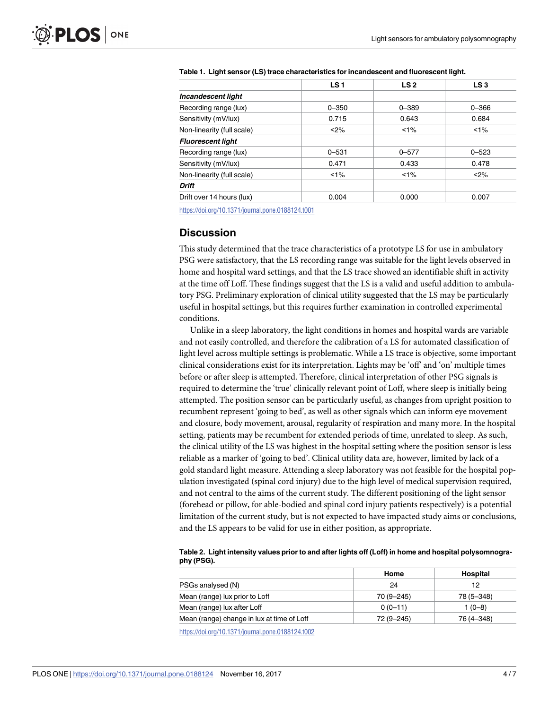|                            | LS <sub>1</sub> | LS <sub>2</sub> | LS3       |
|----------------------------|-----------------|-----------------|-----------|
| Incandescent light         |                 |                 |           |
| Recording range (lux)      | $0 - 350$       | $0 - 389$       | $0 - 366$ |
| Sensitivity (mV/lux)       | 0.715           | 0.643           | 0.684     |
| Non-linearity (full scale) | < 2%            | $1\%$           | $1\%$     |
| <b>Fluorescent light</b>   |                 |                 |           |
| Recording range (lux)      | $0 - 531$       | $0 - 577$       | $0 - 523$ |
| Sensitivity (mV/lux)       | 0.471           | 0.433           | 0.478     |
| Non-linearity (full scale) | $1\%$           | $1\%$           | $2\%$     |
| <b>Drift</b>               |                 |                 |           |
| Drift over 14 hours (lux)  | 0.004           | 0.000           | 0.007     |

<span id="page-3-0"></span>**[Table](#page-2-0) 1. Light sensor (LS) trace characteristics for incandescent and fluorescent light.**

<https://doi.org/10.1371/journal.pone.0188124.t001>

# **Discussion**

This study determined that the trace characteristics of a prototype LS for use in ambulatory PSG were satisfactory, that the LS recording range was suitable for the light levels observed in home and hospital ward settings, and that the LS trace showed an identifiable shift in activity at the time off Loff. These findings suggest that the LS is a valid and useful addition to ambulatory PSG. Preliminary exploration of clinical utility suggested that the LS may be particularly useful in hospital settings, but this requires further examination in controlled experimental conditions.

Unlike in a sleep laboratory, the light conditions in homes and hospital wards are variable and not easily controlled, and therefore the calibration of a LS for automated classification of light level across multiple settings is problematic. While a LS trace is objective, some important clinical considerations exist for its interpretation. Lights may be 'off' and 'on' multiple times before or after sleep is attempted. Therefore, clinical interpretation of other PSG signals is required to determine the 'true' clinically relevant point of Loff, where sleep is initially being attempted. The position sensor can be particularly useful, as changes from upright position to recumbent represent 'going to bed', as well as other signals which can inform eye movement and closure, body movement, arousal, regularity of respiration and many more. In the hospital setting, patients may be recumbent for extended periods of time, unrelated to sleep. As such, the clinical utility of the LS was highest in the hospital setting where the position sensor is less reliable as a marker of 'going to bed'. Clinical utility data are, however, limited by lack of a gold standard light measure. Attending a sleep laboratory was not feasible for the hospital population investigated (spinal cord injury) due to the high level of medical supervision required, and not central to the aims of the current study. The different positioning of the light sensor (forehead or pillow, for able-bodied and spinal cord injury patients respectively) is a potential limitation of the current study, but is not expected to have impacted study aims or conclusions, and the LS appears to be valid for use in either position, as appropriate.

**[Table](#page-2-0) 2. Light intensity values prior to and after lights off (Loff) in home and hospital polysomnography (PSG).**

|                                            | Home         | Hospital   |
|--------------------------------------------|--------------|------------|
| PSGs analysed (N)                          | 24           | 12         |
| Mean (range) lux prior to Loff             | 70 (9 - 245) | 78 (5-348) |
| Mean (range) lux after Loff                | $0(0-11)$    | $1(0-8)$   |
| Mean (range) change in lux at time of Loff | 72 (9-245)   | 76 (4-348) |
|                                            |              |            |

<https://doi.org/10.1371/journal.pone.0188124.t002>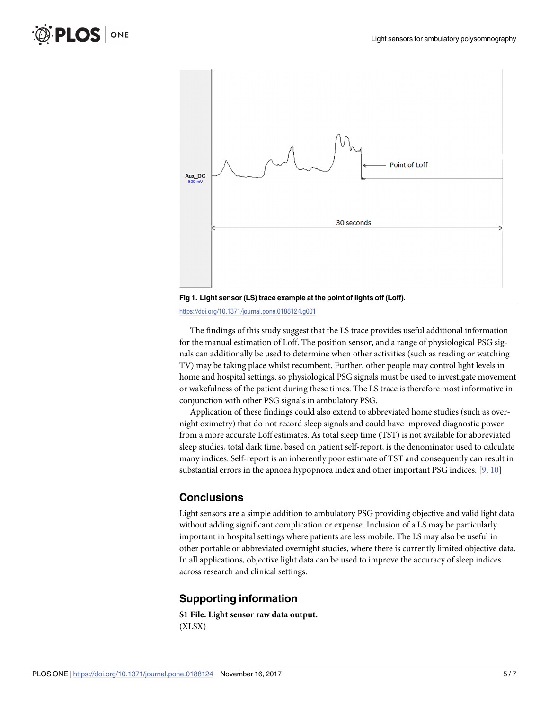<span id="page-4-0"></span>

**[Fig](#page-2-0) 1. Light sensor (LS) trace example at the point of lights off (Loff).**

<https://doi.org/10.1371/journal.pone.0188124.g001>

The findings of this study suggest that the LS trace provides useful additional information for the manual estimation of Loff. The position sensor, and a range of physiological PSG signals can additionally be used to determine when other activities (such as reading or watching TV) may be taking place whilst recumbent. Further, other people may control light levels in home and hospital settings, so physiological PSG signals must be used to investigate movement or wakefulness of the patient during these times. The LS trace is therefore most informative in conjunction with other PSG signals in ambulatory PSG.

Application of these findings could also extend to abbreviated home studies (such as overnight oximetry) that do not record sleep signals and could have improved diagnostic power from a more accurate Loff estimates. As total sleep time (TST) is not available for abbreviated sleep studies, total dark time, based on patient self-report, is the denominator used to calculate many indices. Self-report is an inherently poor estimate of TST and consequently can result in substantial errors in the apnoea hypopnoea index and other important PSG indices. [[9](#page-6-0), [10](#page-6-0)]

# **Conclusions**

Light sensors are a simple addition to ambulatory PSG providing objective and valid light data without adding significant complication or expense. Inclusion of a LS may be particularly important in hospital settings where patients are less mobile. The LS may also be useful in other portable or abbreviated overnight studies, where there is currently limited objective data. In all applications, objective light data can be used to improve the accuracy of sleep indices across research and clinical settings.

# **Supporting information**

**S1 [File.](http://www.plosone.org/article/fetchSingleRepresentation.action?uri=info:doi/10.1371/journal.pone.0188124.s001) Light sensor raw data output.** (XLSX)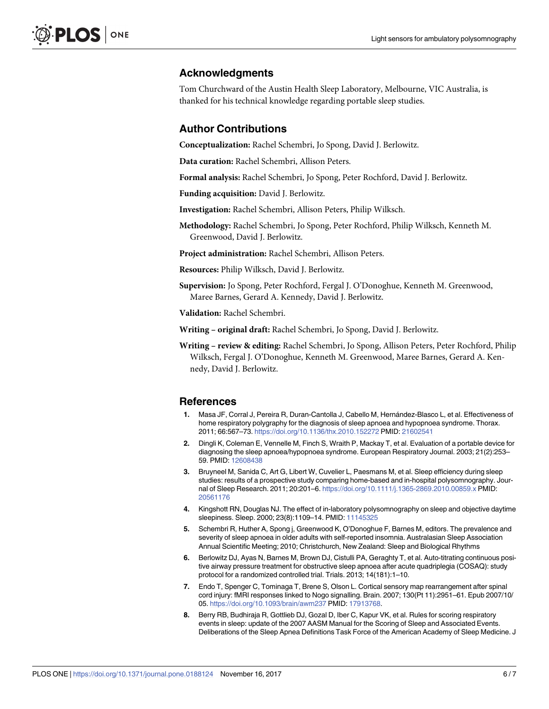## <span id="page-5-0"></span>**Acknowledgments**

Tom Churchward of the Austin Health Sleep Laboratory, Melbourne, VIC Australia, is thanked for his technical knowledge regarding portable sleep studies.

#### **Author Contributions**

**Conceptualization:** Rachel Schembri, Jo Spong, David J. Berlowitz.

**Data curation:** Rachel Schembri, Allison Peters.

**Formal analysis:** Rachel Schembri, Jo Spong, Peter Rochford, David J. Berlowitz.

**Funding acquisition:** David J. Berlowitz.

**Investigation:** Rachel Schembri, Allison Peters, Philip Wilksch.

**Methodology:** Rachel Schembri, Jo Spong, Peter Rochford, Philip Wilksch, Kenneth M. Greenwood, David J. Berlowitz.

**Project administration:** Rachel Schembri, Allison Peters.

**Resources:** Philip Wilksch, David J. Berlowitz.

**Supervision:** Jo Spong, Peter Rochford, Fergal J. O'Donoghue, Kenneth M. Greenwood, Maree Barnes, Gerard A. Kennedy, David J. Berlowitz.

**Validation:** Rachel Schembri.

**Writing – original draft:** Rachel Schembri, Jo Spong, David J. Berlowitz.

**Writing – review & editing:** Rachel Schembri, Jo Spong, Allison Peters, Peter Rochford, Philip Wilksch, Fergal J. O'Donoghue, Kenneth M. Greenwood, Maree Barnes, Gerard A. Kennedy, David J. Berlowitz.

#### **References**

- [1](#page-1-0). Masa JF, Corral J, Pereira R, Duran-Cantolla J, Cabello M, Hernández-Blasco L, et al. Effectiveness of home respiratory polygraphy for the diagnosis of sleep apnoea and hypopnoea syndrome. Thorax. 2011; 66:567–73. <https://doi.org/10.1136/thx.2010.152272> PMID: [21602541](http://www.ncbi.nlm.nih.gov/pubmed/21602541)
- **2.** Dingli K, Coleman E, Vennelle M, Finch S, Wraith P, Mackay T, et al. Evaluation of a portable device for diagnosing the sleep apnoea/hypopnoea syndrome. European Respiratory Journal. 2003; 21(2):253– 59. PMID: [12608438](http://www.ncbi.nlm.nih.gov/pubmed/12608438)
- **3.** Bruyneel M, Sanida C, Art G, Libert W, Cuvelier L, Paesmans M, et al. Sleep efficiency during sleep studies: results of a prospective study comparing home-based and in-hospital polysomnography. Journal of Sleep Research. 2011; 20:201–6. <https://doi.org/10.1111/j.1365-2869.2010.00859.x> PMID: [20561176](http://www.ncbi.nlm.nih.gov/pubmed/20561176)
- **[4](#page-1-0).** Kingshott RN, Douglas NJ. The effect of in-laboratory polysomnography on sleep and objective daytime sleepiness. Sleep. 2000; 23(8):1109–14. PMID: [11145325](http://www.ncbi.nlm.nih.gov/pubmed/11145325)
- **[5](#page-2-0).** Schembri R, Huther A, Spong j, Greenwood K, O'Donoghue F, Barnes M, editors. The prevalence and severity of sleep apnoea in older adults with self-reported insomnia. Australasian Sleep Association Annual Scientific Meeting; 2010; Christchurch, New Zealand: Sleep and Biological Rhythms
- **[6](#page-2-0).** Berlowitz DJ, Ayas N, Barnes M, Brown DJ, Cistulli PA, Geraghty T, et al. Auto-titrating continuous positive airway pressure treatment for obstructive sleep apnoea after acute quadriplegia (COSAQ): study protocol for a randomized controlled trial. Trials. 2013; 14(181):1–10.
- **[7](#page-2-0).** Endo T, Spenger C, Tominaga T, Brene S, Olson L. Cortical sensory map rearrangement after spinal cord injury: fMRI responses linked to Nogo signalling. Brain. 2007; 130(Pt 11):2951–61. Epub 2007/10/ 05. <https://doi.org/10.1093/brain/awm237> PMID: [17913768](http://www.ncbi.nlm.nih.gov/pubmed/17913768).
- **[8](#page-2-0).** Berry RB, Budhiraja R, Gottlieb DJ, Gozal D, Iber C, Kapur VK, et al. Rules for scoring respiratory events in sleep: update of the 2007 AASM Manual for the Scoring of Sleep and Associated Events. Deliberations of the Sleep Apnea Definitions Task Force of the American Academy of Sleep Medicine. J